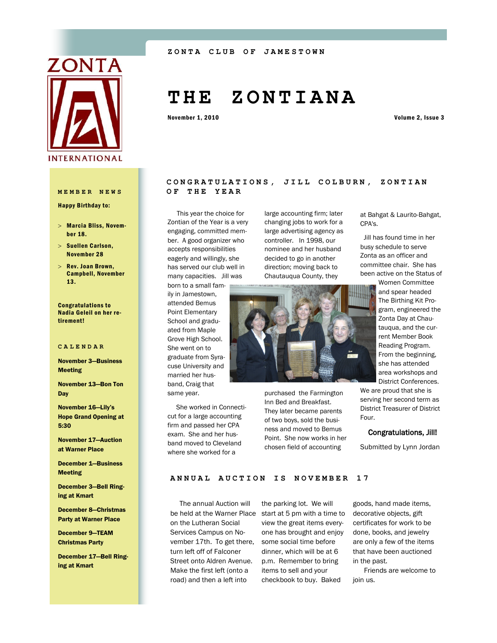

Happy Birthday to:

- Marcia Bliss, November 18.
- $>$  Suellen Carlson, November 28
- $>$  Rev. Joan Brown, Campbell, November 13.

Congratulations to Nadia Geleil on her retirement!

#### **CALENDAR**

November 3—Business Meeting

November 13—Bon Ton **Day** 

November 16—Lily's Hope Grand Opening at 5:30

November 17—Auction at Warner Place

December 1—Business Meeting

December 3—Bell Ringing at Kmart

December 8—Christmas Party at Warner Place

December 9—TEAM Christmas Party

December 17—Bell Ringing at Kmart

# **T H E Z O N T I A N A**

November 1, 2010 Volume 2, Issue 3

# CONGRATULATIONS, JILL COLBURN, ZONTIAN **MEMBER NEWS OF THE YEAR**

large accounting firm; later changing jobs to work for a large advertising agency as controller. In 1998, our nominee and her husband decided to go in another direction; moving back to Chautauqua County, they

 This year the choice for Zontian of the Year is a very engaging, committed member. A good organizer who accepts responsibilities eagerly and willingly, she has served our club well in many capacities. Jill was

born to a small family in Jamestown, attended Bemus Point Elementary School and graduated from Maple Grove High School. She went on to graduate from Syracuse University and married her husband, Craig that

same year. She worked in Connecticut for a large accounting firm and passed her CPA exam. She and her husband moved to Cleveland where she worked for a chosen field of accounting

purchased the Farmington Inn Bed and Breakfast. They later became parents of two boys, sold the business and moved to Bemus Point. She now works in her at Bahgat & Laurito-Bahgat, CPA's.

 Jill has found time in her busy schedule to serve Zonta as an officer and committee chair. She has been active on the Status of

Women Committee and spear headed The Birthing Kit Program, engineered the Zonta Day at Chautauqua, and the current Member Book Reading Program. From the beginning, she has attended area workshops and District Conferences.

We are proud that she is serving her second term as District Treasurer of District Four.

## Congratulations, Jill!

Submitted by Lynn Jordan

# ANNUAL AUCTION IS NOVEMBER 17

 The annual Auction will on the Lutheran Social Services Campus on November 17th. To get there, turn left off of Falconer Street onto Aldren Avenue. Make the first left (onto a road) and then a left into

be held at the Warner Place start at 5 pm with a time to the parking lot. We will view the great items everyone has brought and enjoy some social time before dinner, which will be at 6 p.m. Remember to bring items to sell and your checkbook to buy. Baked

goods, hand made items, decorative objects, gift certificates for work to be done, books, and jewelry are only a few of the items that have been auctioned in the past.

 Friends are welcome to join us.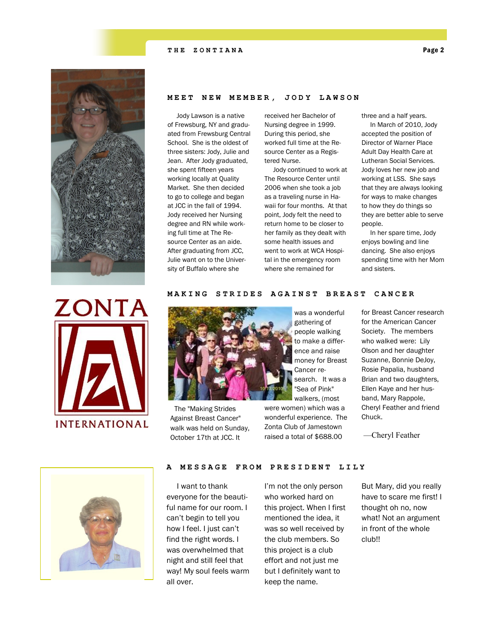# **THE ZONTIANA** Page 2



# **MEET NEW MEMBER, JODY LAWSON**

 Jody Lawson is a native of Frewsburg, NY and graduated from Frewsburg Central School. She is the oldest of three sisters: Jody, Julie and Jean. After Jody graduated, she spent fifteen years working locally at Quality Market. She then decided to go to college and began at JCC in the fall of 1994. Jody received her Nursing degree and RN while working full time at The Resource Center as an aide. After graduating from JCC, Julie want on to the University of Buffalo where she

received her Bachelor of Nursing degree in 1999. During this period, she worked full time at the Resource Center as a Registered Nurse.

 Jody continued to work at The Resource Center until 2006 when she took a job as a traveling nurse in Hawaii for four months. At that point, Jody felt the need to return home to be closer to her family as they dealt with some health issues and went to work at WCA Hospital in the emergency room where she remained for

three and a half years. In March of 2010, Jody accepted the position of Director of Warner Place Adult Day Health Care at Lutheran Social Services. Jody loves her new job and working at LSS. She says that they are always looking for ways to make changes to how they do things so they are better able to serve people.

 In her spare time, Jody enjoys bowling and line dancing. She also enjoys spending time with her Mom and sisters.



# **MAKING STRIDES AGAINST BREAST CANCER**



 The "Making Strides Against Breast Cancer" walk was held on Sunday, October 17th at JCC. It

was a wonderful gathering of people walking to make a difference and raise money for Breast Cancer research. It was a "Sea of Pink" walkers, (most

were women) which was a wonderful experience. The Zonta Club of Jamestown raised a total of \$688.00

for Breast Cancer research for the American Cancer Society. The members who walked were: Lily Olson and her daughter Suzanne, Bonnie DeJoy, Rosie Papalia, husband Brian and two daughters, Ellen Kaye and her husband, Mary Rappole, Cheryl Feather and friend Chuck.

—Cheryl Feather



### **A MESSAGE FROM PRESIDENT LILY**

 I want to thank everyone for the beautiful name for our room. I can't begin to tell you how I feel. I just can't find the right words. I was overwhelmed that night and still feel that way! My soul feels warm all over.

I'm not the only person who worked hard on this project. When I first mentioned the idea, it was so well received by the club members. So this project is a club effort and not just me but I definitely want to keep the name.

But Mary, did you really have to scare me first! I thought oh no, now what! Not an argument in front of the whole club!!